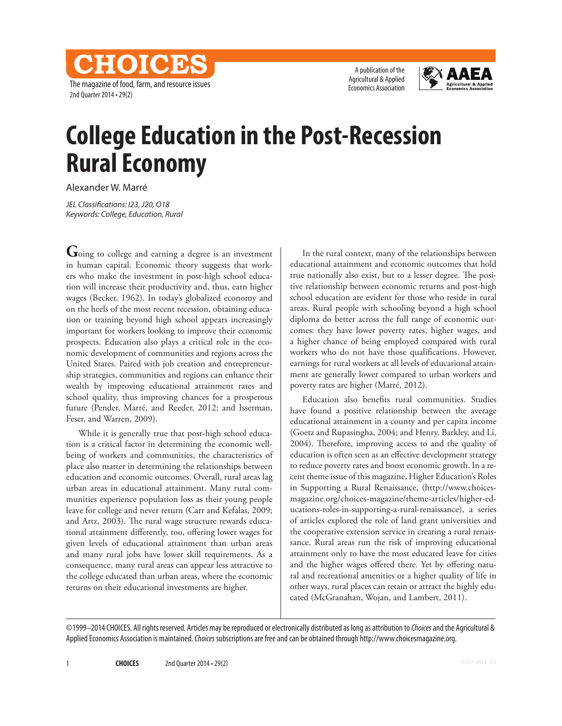The magazine of food, farm, and resource issues 2nd Quarter 2014 • 29(2)

CHOICES

A publication of the Agricultural & Applied Economics Association



# **College Education in the Post-Recession Rural Economy**

Alexander W. Marré

*JEL Classifications: I23, J20, O18 Keywords: College, Education, Rural*

**G**oing to college and earning a degree is an investment in human capital. Economic theory suggests that workers who make the investment in post-high school education will increase their productivity and, thus, earn higher wages (Becker, 1962). In today's globalized economy and on the heels of the most recent recession, obtaining education or training beyond high school appears increasingly important for workers looking to improve their economic prospects. Education also plays a critical role in the economic development of communities and regions across the United States. Paired with job creation and entrepreneurship strategies, communities and regions can enhance their wealth by improving educational attainment rates and school quality, thus improving chances for a prosperous future (Pender, Marré, and Reeder, 2012; and Isserman, Feser, and Warren, 2009).

While it is generally true that post-high school education is a critical factor in determining the economic wellbeing of workers and communities, the characteristics of place also matter in determining the relationships between education and economic outcomes. Overall, rural areas lag urban areas in educational attainment. Many rural communities experience population loss as their young people leave for college and never return (Carr and Kefalas, 2009; and Artz, 2003). The rural wage structure rewards educational attainment differently, too, offering lower wages for given levels of educational attainment than urban areas and many rural jobs have lower skill requirements. As a consequence, many rural areas can appear less attractive to the college educated than urban areas, where the economic returns on their educational investments are higher.

In the rural context, many of the relationships between educational attainment and economic outcomes that hold true nationally also exist, but to a lesser degree. The positive relationship between economic returns and post-high school education are evident for those who reside in rural areas. Rural people with schooling beyond a high school diploma do better across the full range of economic outcomes: they have lower poverty rates, higher wages, and a higher chance of being employed compared with rural workers who do not have those qualifications. However, earnings for rural workers at all levels of educational attainment are generally lower compared to urban workers and poverty rates are higher (Marré, 2012).

Education also benefits rural communities. Studies have found a positive relationship between the average educational attainment in a county and per capita income (Goetz and Rupasingha, 2004; and Henry, Barkley, and Li, 2004). Therefore, improving access to and the quality of education is often seen as an effective development strategy to reduce poverty rates and boost economic growth. In a recent theme issue of this magazine, Higher Education's Roles in Supporting a Rural Renaissance, (http://www.choicesmagazine.org/choices-magazine/theme-articles/higher-educations-roles-in-supporting-a-rural-renaissance), a series of articles explored the role of land grant universities and the cooperative extension service in creating a rural renaissance. Rural areas run the risk of improving educational attainment only to have the most educated leave for cities and the higher wages offered there. Yet by offering natural and recreational amenities or a higher quality of life in other ways, rural places can retain or attract the highly educated (McGranahan, Wojan, and Lambert, 2011).

©1999–2014 CHOICES. All rights reserved. Articles may be reproduced or electronically distributed as long as attribution to *Choices* and the Agricultural & Applied Economics Association is maintained. *Choices* subscriptions are free and can be obtained through http://www.choicesmagazine.org.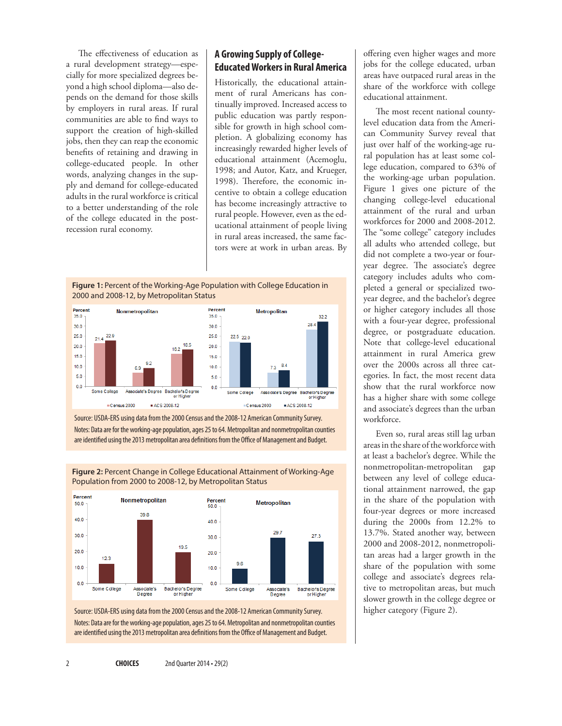The effectiveness of education as a rural development strategy—especially for more specialized degrees beyond a high school diploma—also depends on the demand for those skills by employers in rural areas. If rural communities are able to find ways to support the creation of high-skilled jobs, then they can reap the economic benefits of retaining and drawing in college-educated people. In other words, analyzing changes in the supply and demand for college-educated adults in the rural workforce is critical to a better understanding of the role of the college educated in the postrecession rural economy.

#### **A Growing Supply of College-Educated Workers in Rural America**

Historically, the educational attainment of rural Americans has continually improved. Increased access to public education was partly responsible for growth in high school completion. A globalizing economy has increasingly rewarded higher levels of educational attainment (Acemoglu, 1998; and Autor, Katz, and Krueger, 1998). Therefore, the economic incentive to obtain a college education has become increasingly attractive to rural people. However, even as the educational attainment of people living in rural areas increased, the same factors were at work in urban areas. By





Source: USDA-ERS using data from the 2000 Census and the 2008-12 American Community Survey.

Notes: Data are for the working-age population, ages 25 to 64. Metropolitan and nonmetropolitan counties are identified using the 2013 metropolitan area definitions from the Office of Management and Budget.



**Figure 2:** Percent Change in College Educational Attainment of Working-Age Population from 2000 to 2008-12, by Metropolitan Status

Source: USDA-ERS using data from the 2000 Census and the 2008-12 American Community Survey. Notes: Data are for the working-age population, ages 25 to 64. Metropolitan and nonmetropolitan counties are identified using the 2013 metropolitan area definitions from the Office of Management and Budget.

offering even higher wages and more jobs for the college educated, urban areas have outpaced rural areas in the share of the workforce with college educational attainment.

The most recent national countylevel education data from the American Community Survey reveal that just over half of the working-age rural population has at least some college education, compared to 63% of the working-age urban population. Figure 1 gives one picture of the changing college-level educational attainment of the rural and urban workforces for 2000 and 2008-2012. The "some college" category includes all adults who attended college, but did not complete a two-year or fouryear degree. The associate's degree category includes adults who completed a general or specialized twoyear degree, and the bachelor's degree or higher category includes all those with a four-year degree, professional degree, or postgraduate education. Note that college-level educational attainment in rural America grew over the 2000s across all three categories. In fact, the most recent data show that the rural workforce now has a higher share with some college and associate's degrees than the urban workforce.

Even so, rural areas still lag urban areas in the share of the workforce with at least a bachelor's degree. While the nonmetropolitan-metropolitan gap between any level of college educational attainment narrowed, the gap in the share of the population with four-year degrees or more increased during the 2000s from 12.2% to 13.7%. Stated another way, between 2000 and 2008-2012, nonmetropolitan areas had a larger growth in the share of the population with some college and associate's degrees relative to metropolitan areas, but much slower growth in the college degree or higher category (Figure 2).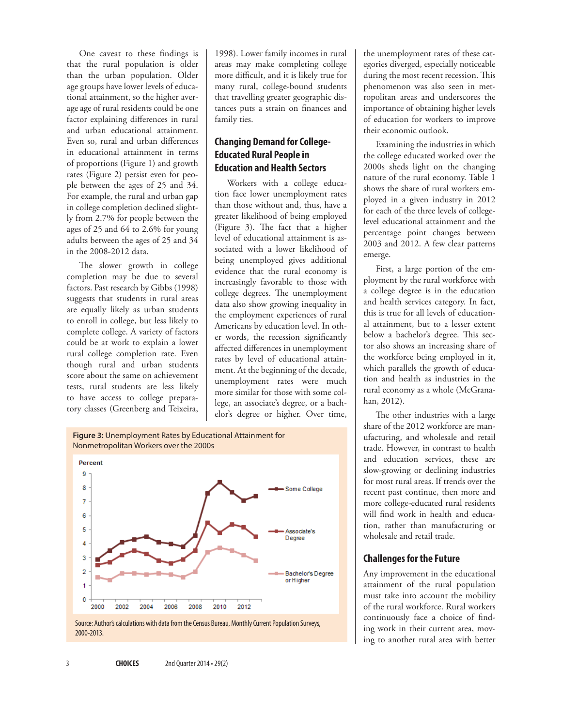One caveat to these findings is that the rural population is older than the urban population. Older age groups have lower levels of educational attainment, so the higher average age of rural residents could be one factor explaining differences in rural and urban educational attainment. Even so, rural and urban differences in educational attainment in terms of proportions (Figure 1) and growth rates (Figure 2) persist even for people between the ages of 25 and 34. For example, the rural and urban gap in college completion declined slightly from 2.7% for people between the ages of 25 and 64 to 2.6% for young adults between the ages of 25 and 34 in the 2008-2012 data.

The slower growth in college completion may be due to several factors. Past research by Gibbs (1998) suggests that students in rural areas are equally likely as urban students to enroll in college, but less likely to complete college. A variety of factors could be at work to explain a lower rural college completion rate. Even though rural and urban students score about the same on achievement tests, rural students are less likely to have access to college preparatory classes (Greenberg and Teixeira,

1998). Lower family incomes in rural areas may make completing college more difficult, and it is likely true for many rural, college-bound students that travelling greater geographic distances puts a strain on finances and family ties.

## **Changing Demand for College-Educated Rural People in Education and Health Sectors**

Workers with a college education face lower unemployment rates than those without and, thus, have a greater likelihood of being employed (Figure 3). The fact that a higher level of educational attainment is associated with a lower likelihood of being unemployed gives additional evidence that the rural economy is increasingly favorable to those with college degrees. The unemployment data also show growing inequality in the employment experiences of rural Americans by education level. In other words, the recession significantly affected differences in unemployment rates by level of educational attainment. At the beginning of the decade, unemployment rates were much more similar for those with some college, an associate's degree, or a bachelor's degree or higher. Over time,



the unemployment rates of these categories diverged, especially noticeable during the most recent recession. This phenomenon was also seen in metropolitan areas and underscores the importance of obtaining higher levels of education for workers to improve their economic outlook.

Examining the industries in which the college educated worked over the 2000s sheds light on the changing nature of the rural economy. Table 1 shows the share of rural workers employed in a given industry in 2012 for each of the three levels of collegelevel educational attainment and the percentage point changes between 2003 and 2012. A few clear patterns emerge.

First, a large portion of the employment by the rural workforce with a college degree is in the education and health services category. In fact, this is true for all levels of educational attainment, but to a lesser extent below a bachelor's degree. This sector also shows an increasing share of the workforce being employed in it, which parallels the growth of education and health as industries in the rural economy as a whole (McGranahan, 2012).

The other industries with a large share of the 2012 workforce are manufacturing, and wholesale and retail trade. However, in contrast to health and education services, these are slow-growing or declining industries for most rural areas. If trends over the recent past continue, then more and more college-educated rural residents will find work in health and education, rather than manufacturing or wholesale and retail trade.

## **Challenges for the Future**

Any improvement in the educational attainment of the rural population must take into account the mobility of the rural workforce. Rural workers continuously face a choice of finding work in their current area, moving to another rural area with better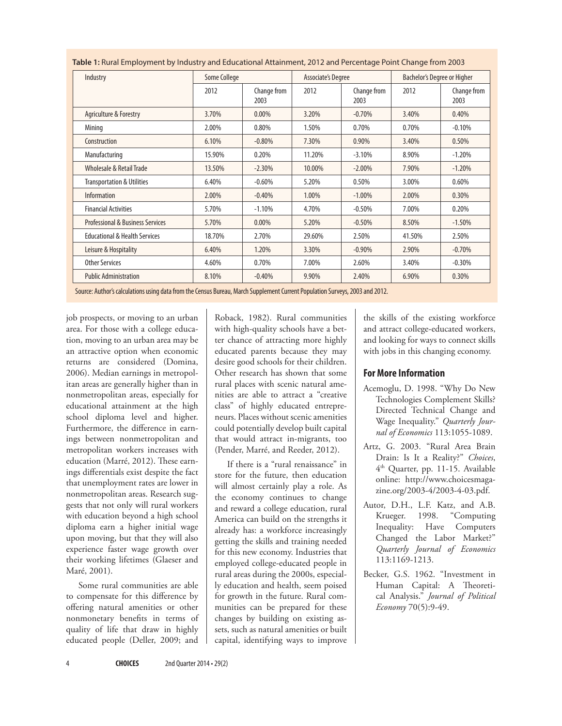| Industry                                    | Some College |                     | Associate's Degree |                     | Bachelor's Degree or Higher |                     |
|---------------------------------------------|--------------|---------------------|--------------------|---------------------|-----------------------------|---------------------|
|                                             | 2012         | Change from<br>2003 | 2012               | Change from<br>2003 | 2012                        | Change from<br>2003 |
| Agriculture & Forestry                      | 3.70%        | 0.00%               | 3.20%              | $-0.70%$            | 3.40%                       | 0.40%               |
| Mining                                      | 2.00%        | 0.80%               | 1.50%              | 0.70%               | 0.70%                       | $-0.10%$            |
| Construction                                | 6.10%        | $-0.80%$            | 7.30%              | 0.90%               | 3.40%                       | 0.50%               |
| Manufacturing                               | 15.90%       | 0.20%               | 11.20%             | $-3.10%$            | 8.90%                       | $-1.20%$            |
| Wholesale & Retail Trade                    | 13.50%       | $-2.30%$            | 10.00%             | $-2.00\%$           | 7.90%                       | $-1.20%$            |
| <b>Transportation &amp; Utilities</b>       | 6.40%        | $-0.60%$            | 5.20%              | 0.50%               | 3.00%                       | 0.60%               |
| Information                                 | 2.00%        | $-0.40%$            | 1.00%              | $-1.00\%$           | 2.00%                       | 0.30%               |
| <b>Financial Activities</b>                 | 5.70%        | $-1.10%$            | 4.70%              | $-0.50%$            | 7.00%                       | 0.20%               |
| <b>Professional &amp; Business Services</b> | 5.70%        | $0.00\%$            | 5.20%              | $-0.50%$            | 8.50%                       | $-1.50%$            |
| <b>Educational &amp; Health Services</b>    | 18.70%       | 2.70%               | 29.60%             | 2.50%               | 41.50%                      | 2.50%               |
| Leisure & Hospitality                       | 6.40%        | 1.20%               | 3.30%              | $-0.90\%$           | 2.90%                       | $-0.70%$            |
| Other Services                              | 4.60%        | 0.70%               | 7.00%              | 2.60%               | 3.40%                       | $-0.30%$            |
| <b>Public Administration</b>                | 8.10%        | $-0.40%$            | 9.90%              | 2.40%               | 6.90%                       | 0.30%               |

**Table 1:** Rural Employment by Industry and Educational Attainment, 2012 and Percentage Point Change from 2003

Source: Author's calculations using data from the Census Bureau, March Supplement Current Population Surveys, 2003 and 2012.

job prospects, or moving to an urban area. For those with a college education, moving to an urban area may be an attractive option when economic returns are considered (Domina, 2006). Median earnings in metropolitan areas are generally higher than in nonmetropolitan areas, especially for educational attainment at the high school diploma level and higher. Furthermore, the difference in earnings between nonmetropolitan and metropolitan workers increases with education (Marré, 2012). These earnings differentials exist despite the fact that unemployment rates are lower in nonmetropolitan areas. Research suggests that not only will rural workers with education beyond a high school diploma earn a higher initial wage upon moving, but that they will also experience faster wage growth over their working lifetimes (Glaeser and Maré, 2001).

Some rural communities are able to compensate for this difference by offering natural amenities or other nonmonetary benefits in terms of quality of life that draw in highly educated people (Deller, 2009; and Roback, 1982). Rural communities with high-quality schools have a better chance of attracting more highly educated parents because they may desire good schools for their children. Other research has shown that some rural places with scenic natural amenities are able to attract a "creative class" of highly educated entrepreneurs. Places without scenic amenities could potentially develop built capital that would attract in-migrants, too (Pender, Marré, and Reeder, 2012).

If there is a "rural renaissance" in store for the future, then education will almost certainly play a role. As the economy continues to change and reward a college education, rural America can build on the strengths it already has: a workforce increasingly getting the skills and training needed for this new economy. Industries that employed college-educated people in rural areas during the 2000s, especially education and health, seem poised for growth in the future. Rural communities can be prepared for these changes by building on existing assets, such as natural amenities or built capital, identifying ways to improve the skills of the existing workforce and attract college-educated workers, and looking for ways to connect skills with jobs in this changing economy.

#### **For More Information**

- Acemoglu, D. 1998. "Why Do New Technologies Complement Skills? Directed Technical Change and Wage Inequality." *Quarterly Journal of Economics* 113:1055-1089.
- Artz, G. 2003. "Rural Area Brain Drain: Is It a Reality?" *Choices*, 4th Quarter, pp. 11-15. Available online: [http://www.choicesmaga](http://www.choicesmagazine.org/2003-4/2003-4-03.pdf)[zine.org/2003-4/2003-4-03.pdf.](http://www.choicesmagazine.org/2003-4/2003-4-03.pdf)
- Autor, D.H., L.F. Katz, and A.B. Krueger. 1998. "Computing Inequality: Have Computers Changed the Labor Market?" *Quarterly Journal of Economics*  113:1169-1213.
- Becker, G.S. 1962. "Investment in Human Capital: A Theoretical Analysis." *Journal of Political Economy* 70(5):9-49.